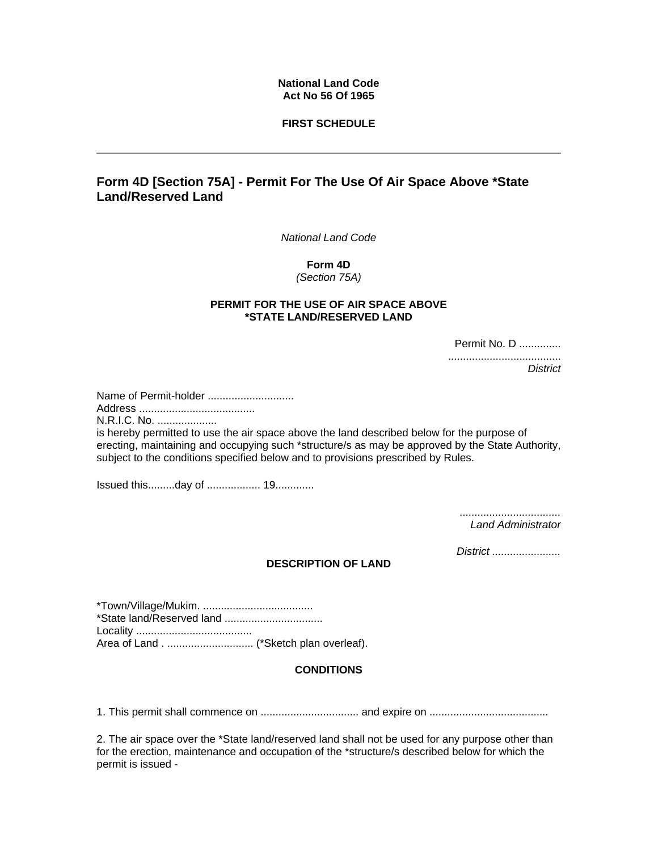### **National Land Code Act No 56 Of 1965**

#### **FIRST SCHEDULE**

# **Form 4D [Section 75A] - Permit For The Use Of Air Space Above \*State Land/Reserved Land**

*National Land Code* 

**Form 4D** *(Section 75A)* 

### **PERMIT FOR THE USE OF AIR SPACE ABOVE \*STATE LAND/RESERVED LAND**

Permit No. D ..............

...................................... *District*

Name of Permit-holder ............................. Address ....................................... N.R.I.C. No. .................... is hereby permitted to use the air space above the land described below for the purpose of erecting, maintaining and occupying such \*structure/s as may be approved by the State Authority, subject to the conditions specified below and to provisions prescribed by Rules.

Issued this.........day of .................. 19.............

*.................................. Land Administrator*

*District .......................*

## **DESCRIPTION OF LAND**

\*Town/Village/Mukim. ..................................... \*State land/Reserved land ................................. Locality ....................................... Area of Land . ............................. (\*Sketch plan overleaf).

## **CONDITIONS**

1. This permit shall commence on ................................. and expire on ........................................

2. The air space over the \*State land/reserved land shall not be used for any purpose other than for the erection, maintenance and occupation of the \*structure/s described below for which the permit is issued -